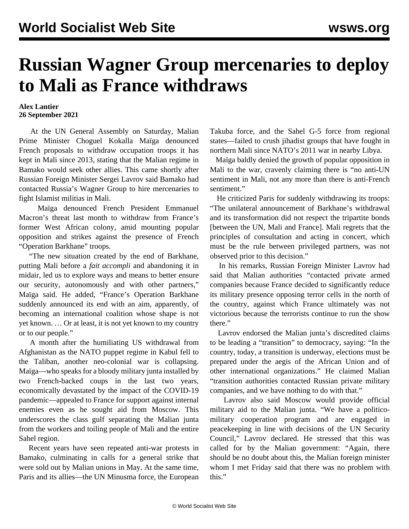## **Russian Wagner Group mercenaries to deploy to Mali as France withdraws**

## **Alex Lantier 26 September 2021**

 At the UN General Assembly on Saturday, Malian Prime Minister Choguel Kokalla Maïga denounced French proposals to withdraw occupation troops it has kept in Mali since 2013, stating that the Malian regime in Bamako would seek other allies. This came shortly after Russian Foreign Minister Sergei Lavrov said Bamako had contacted Russia's Wagner Group to hire mercenaries to fight Islamist militias in Mali.

 Maïga denounced French President Emmanuel Macron's threat last month to withdraw from France's former West African colony, amid mounting popular opposition and strikes against the presence of French "Operation Barkhane" troops.

 "The new situation created by the end of Barkhane, putting Mali before a *fait accompli* and abandoning it in midair, led us to explore ways and means to better ensure our security, autonomously and with other partners," Maïga said. He added, "France's Operation Barkhane suddenly announced its end with an aim, apparently, of becoming an international coalition whose shape is not yet known. … Or at least, it is not yet known to my country or to our people."

 A month after the humiliating US withdrawal from Afghanistan as the NATO puppet regime in Kabul fell to the Taliban, another neo-colonial war is collapsing. Maïga—who speaks for a bloody military junta installed by two French-backed coups in the last two years, economically devastated by the impact of the COVID-19 pandemic—appealed to France for support against internal enemies even as he sought aid from Moscow. This underscores the class gulf separating the Malian junta from the workers and toiling people of Mali and the entire Sahel region.

 Recent years have seen repeated anti-war protests in Bamako, culminating in calls for a general strike that were sold out by Malian unions in May. At the same time, Paris and its allies—the UN Minusma force, the European

Takuba force, and the Sahel G-5 force from regional states—failed to crush jihadist groups that have fought in northern Mali since NATO's 2011 war in nearby Libya.

 Maïga baldly denied the growth of popular opposition in Mali to the war, cravenly claiming there is "no anti-UN sentiment in Mali, not any more than there is anti-French sentiment."

 He criticized Paris for suddenly withdrawing its troops: "The unilateral announcement of Barkhane's withdrawal and its transformation did not respect the tripartite bonds [between the UN, Mali and France]. Mali regrets that the principles of consultation and acting in concert, which must be the rule between privileged partners, was not observed prior to this decision."

 In his remarks, Russian Foreign Minister Lavrov had said that Malian authorities "contacted private armed companies because France decided to significantly reduce its military presence opposing terror cells in the north of the country, against which France ultimately was not victorious because the terrorists continue to run the show there."

 Lavrov endorsed the Malian junta's discredited claims to be leading a "transition" to democracy, saying: "In the country, today, a transition is underway, elections must be prepared under the aegis of the African Union and of other international organizations." He claimed Malian "transition authorities contacted Russian private military companies, and we have nothing to do with that."

 Lavrov also said Moscow would provide official military aid to the Malian junta. "We have a politicomilitary cooperation program and are engaged in peacekeeping in line with decisions of the UN Security Council," Lavrov declared. He stressed that this was called for by the Malian government: "Again, there should be no doubt about this, the Malian foreign minister whom I met Friday said that there was no problem with this."